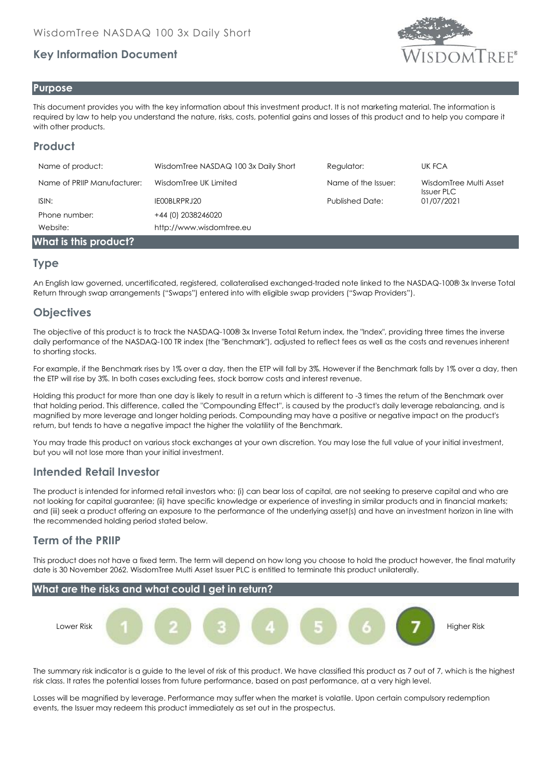# **Key Information Document**



#### **Purpose**

This document provides you with the key information about this investment product. It is not marketing material. The information is required by law to help you understand the nature, risks, costs, potential gains and losses of this product and to help you compare it with other products.

## **Product**

| Name of product:            | WisdomTree NASDAQ 100 3x Daily Short | Regulator:             | UK FCA                                      |
|-----------------------------|--------------------------------------|------------------------|---------------------------------------------|
| Name of PRIIP Manufacturer: | WisdomTree UK Limited                | Name of the Issuer:    | WisdomTree Multi Asset<br><b>Issuer PLC</b> |
| ISIN:                       | IE00BLRPRJ20                         | <b>Published Date:</b> | 01/07/2021                                  |
| Phone number:               | +44 (0) 2038246020                   |                        |                                             |
| Website:                    | http://www.wisdomtree.eu             |                        |                                             |
| What is this product?       |                                      |                        |                                             |

#### **Type**

An English law governed, uncertificated, registered, collateralised exchanged-traded note linked to the NASDAQ-100® 3x Inverse Total Return through swap arrangements ("Swaps") entered into with eligible swap providers ("Swap Providers").

## **Objectives**

The objective of this product is to track the NASDAQ-100® 3x Inverse Total Return index, the "Index", providing three times the inverse daily performance of the NASDAQ-100 TR index (the "Benchmark"), adjusted to reflect fees as well as the costs and revenues inherent to shorting stocks.

For example, if the Benchmark rises by 1% over a day, then the ETP will fall by 3%. However if the Benchmark falls by 1% over a day, then the ETP will rise by 3%. In both cases excluding fees, stock borrow costs and interest revenue.

Holding this product for more than one day is likely to result in a return which is different to -3 times the return of the Benchmark over that holding period. This difference, called the ''Compounding Effect'', is caused by the product's daily leverage rebalancing, and is magnified by more leverage and longer holding periods. Compounding may have a positive or negative impact on the product's return, but tends to have a negative impact the higher the volatility of the Benchmark.

You may trade this product on various stock exchanges at your own discretion. You may lose the full value of your initial investment, but you will not lose more than your initial investment.

### **Intended Retail Investor**

The product is intended for informed retail investors who: (i) can bear loss of capital, are not seeking to preserve capital and who are not looking for capital guarantee; (ii) have specific knowledge or experience of investing in similar products and in financial markets; and (iii) seek a product offering an exposure to the performance of the underlying asset(s) and have an investment horizon in line with the recommended holding period stated below.

### **Term of the PRIIP**

This product does not have a fixed term. The term will depend on how long you choose to hold the product however, the final maturity date is 30 November 2062. WisdomTree Multi Asset Issuer PLC is entitled to terminate this product unilaterally.



The summary risk indicator is a guide to the level of risk of this product. We have classified this product as 7 out of 7, which is the highest risk class. It rates the potential losses from future performance, based on past performance, at a very high level.

Losses will be magnified by leverage. Performance may suffer when the market is volatile. Upon certain compulsory redemption events, the Issuer may redeem this product immediately as set out in the prospectus.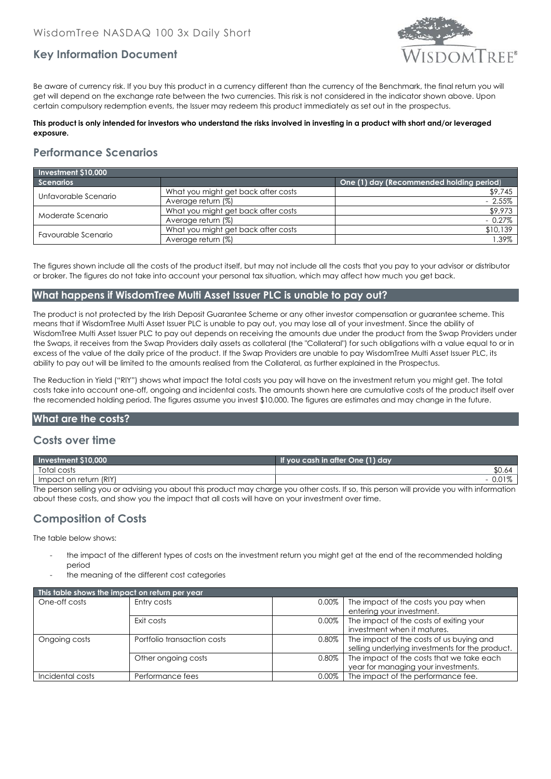

## **Key Information Document**

Be aware of currency risk. If you buy this product in a currency different than the currency of the Benchmark, the final return you will get will depend on the exchange rate between the two currencies. This risk is not considered in the indicator shown above. Upon certain compulsory redemption events, the Issuer may redeem this product immediately as set out in the prospectus.

#### **This product is only intended for investors who understand the risks involved in investing in a product with short and/or leveraged exposure.**

# **Performance Scenarios**

| Investment \$10,000  |                                     |                                          |  |  |
|----------------------|-------------------------------------|------------------------------------------|--|--|
| <b>Scenarios</b>     |                                     | One (1) day (Recommended holding period) |  |  |
| Unfavorable Scenario | What you might get back after costs | \$9,745                                  |  |  |
|                      | Average return (%)                  | $-2.55\%$                                |  |  |
| Moderate Scenario    | What you might get back after costs | \$9,973                                  |  |  |
|                      | Average return (%)                  | $-0.27\%$                                |  |  |
| Favourable Scenario  | What you might get back after costs | \$10,139                                 |  |  |
|                      | Average return (%)                  | .39%                                     |  |  |

The figures shown include all the costs of the product itself, but may not include all the costs that you pay to your advisor or distributor or broker. The figures do not take into account your personal tax situation, which may affect how much you get back.

#### **What happens if WisdomTree Multi Asset Issuer PLC is unable to pay out?**

The product is not protected by the Irish Deposit Guarantee Scheme or any other investor compensation or guarantee scheme. This means that if WisdomTree Multi Asset Issuer PLC is unable to pay out, you may lose all of your investment. Since the ability of WisdomTree Multi Asset Issuer PLC to pay out depends on receiving the amounts due under the product from the Swap Providers under the Swaps, it receives from the Swap Providers daily assets as collateral (the "Collateral") for such obligations with a value equal to or in excess of the value of the daily price of the product. If the Swap Providers are unable to pay WisdomTree Multi Asset Issuer PLC, its ability to pay out will be limited to the amounts realised from the Collateral, as further explained in the Prospectus.

The Reduction in Yield ("RIY") shows what impact the total costs you pay will have on the investment return you might get. The total costs take into account one-off, ongoing and incidental costs. The amounts shown here are cumulative costs of the product itself over the recomended holding period. The figures assume you invest \$10,000. The figures are estimates and may change in the future.

#### **What are the costs?**

#### **Costs over time**

| Investment \$10,000                                                                                                                        | If you cash in after One (1) day |  |  |
|--------------------------------------------------------------------------------------------------------------------------------------------|----------------------------------|--|--|
| Total costs                                                                                                                                | \$0.64                           |  |  |
| Impact on return (RIY)                                                                                                                     |                                  |  |  |
| The person selling you or advising you about this product may charge you other costs. If so, this person will provide you with information |                                  |  |  |

The person selling you or advising you about this product may charge you other costs. If so, this person will provide you with information about these costs, and show you the impact that all costs will have on your investment over time.

### **Composition of Costs**

The table below shows:

- the impact of the different types of costs on the investment return you might get at the end of the recommended holding period
- the meaning of the different cost categories

| This table shows the impact on return per year |                             |          |                                                 |  |  |
|------------------------------------------------|-----------------------------|----------|-------------------------------------------------|--|--|
| One-off costs                                  | Entry costs                 | 0.00%    | The impact of the costs you pay when            |  |  |
|                                                |                             |          | entering your investment.                       |  |  |
|                                                | Exit costs                  | $0.00\%$ | The impact of the costs of exiting your         |  |  |
|                                                |                             |          | investment when it matures.                     |  |  |
| Ongoing costs                                  | Portfolio transaction costs | 0.80%    | The impact of the costs of us buying and        |  |  |
|                                                |                             |          | selling underlying investments for the product. |  |  |
|                                                | Other ongoing costs         | 0.80%    | The impact of the costs that we take each       |  |  |
|                                                |                             |          | year for managing your investments.             |  |  |
| Incidental costs                               | Performance fees            | $0.00\%$ | The impact of the performance fee.              |  |  |